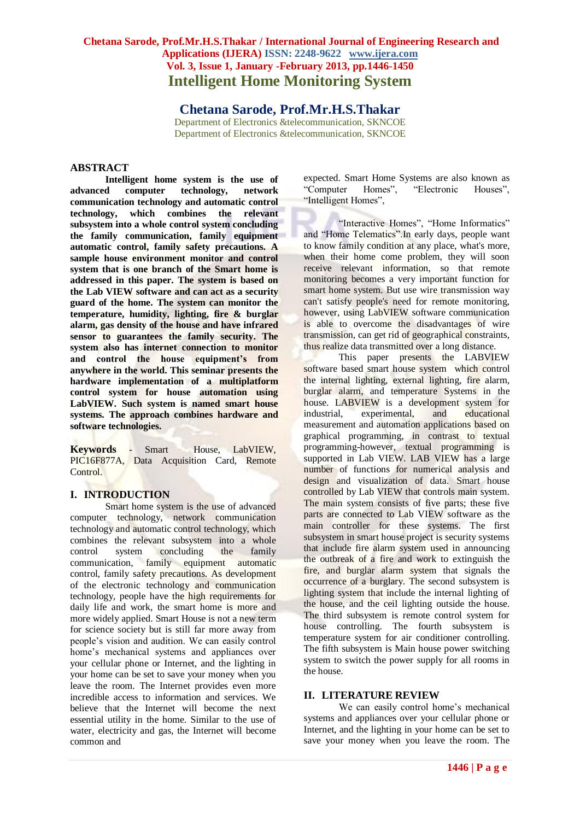**Chetana Sarode, Prof.Mr.H.S.Thakar** Department of Electronics &telecommunication, SKNCOE Department of Electronics &telecommunication, SKNCOE

# **ABSTRACT**

**Intelligent home system is the use of advanced computer technology, network communication technology and automatic control technology, which combines the relevant subsystem into a whole control system concluding the family communication, family equipment automatic control, family safety precautions. A sample house environment monitor and control system that is one branch of the Smart home is addressed in this paper. The system is based on the Lab VIEW software and can act as a security guard of the home. The system can monitor the temperature, humidity, lighting, fire & burglar alarm, gas density of the house and have infrared sensor to guarantees the family security. The system also has internet connection to monitor and control the house equipment's from anywhere in the world. This seminar presents the hardware implementation of a multiplatform control system for house automation using LabVIEW. Such system is named smart house systems. The approach combines hardware and software technologies.**

**Keywords** - Smart House, LabVIEW, PIC16F877A, Data Acquisition Card, Remote Control.

### **I. INTRODUCTION**

Smart home system is the use of advanced computer technology, network communication technology and automatic control technology, which combines the relevant subsystem into a whole control system concluding the family communication, family equipment automatic control, family safety precautions. As development of the electronic technology and communication technology, people have the high requirements for daily life and work, the smart home is more and more widely applied. Smart House is not a new term for science society but is still far more away from people's vision and audition. We can easily control home's mechanical systems and appliances over your cellular phone or Internet, and the lighting in your home can be set to save your money when you leave the room. The Internet provides even more incredible access to information and services. We believe that the Internet will become the next essential utility in the home. Similar to the use of water, electricity and gas, the Internet will become common and

expected. Smart Home Systems are also known as "Computer Homes", "Electronic Houses", "Intelligent Homes",

"Interactive Homes", "Home Informatics" and "Home Telematics".In early days, people want to know family condition at any place, what's more, when their home come problem, they will soon receive relevant information, so that remote monitoring becomes a very important function for smart home system. But use wire transmission way can't satisfy people's need for remote monitoring, however, using LabVIEW software communication is able to overcome the disadvantages of wire transmission, can get rid of geographical constraints, thus realize data transmitted over a long distance.

This paper presents the LABVIEW software based smart house system which control the internal lighting, external lighting, fire alarm, burglar alarm, and temperature Systems in the house. LABVIEW is a development system for industrial, experimental, and educational measurement and automation applications based on graphical programming, in contrast to textual programming-however, textual programming is supported in Lab VIEW. LAB VIEW has a large number of functions for numerical analysis and design and visualization of data. Smart house controlled by Lab VIEW that controls main system. The main system consists of five parts; these five parts are connected to Lab VIEW software as the main controller for these systems. The first subsystem in smart house project is security systems that include fire alarm system used in announcing the outbreak of a fire and work to extinguish the fire, and burglar alarm system that signals the occurrence of a burglary. The second subsystem is lighting system that include the internal lighting of the house, and the ceil lighting outside the house. The third subsystem is remote control system for house controlling. The fourth subsystem is temperature system for air conditioner controlling. The fifth subsystem is Main house power switching system to switch the power supply for all rooms in the house.

### **II. LITERATURE REVIEW**

We can easily control home's mechanical systems and appliances over your cellular phone or Internet, and the lighting in your home can be set to save your money when you leave the room. The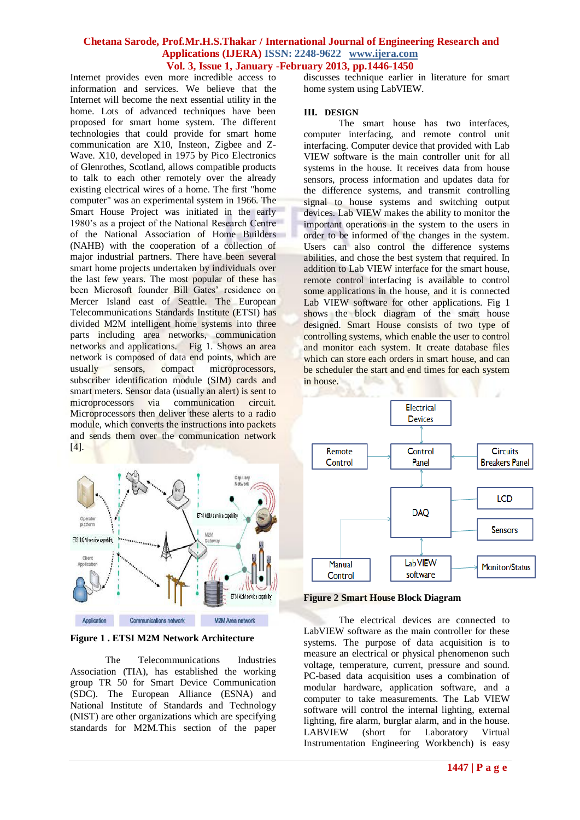Internet provides even more incredible access to information and services. We believe that the Internet will become the next essential utility in the home. Lots of advanced techniques have been proposed for smart home system. The different technologies that could provide for smart home communication are X10, Insteon, Zigbee and Z-Wave. X10, developed in 1975 by Pico Electronics of Glenrothes, Scotland, allows compatible products to talk to each other remotely over the already existing electrical wires of a home. The first "home computer" was an experimental system in 1966. The Smart House Project was initiated in the early 1980's as a project of the National Research Centre of the National Association of Home Builders (NAHB) with the cooperation of a collection of major industrial partners. There have been several smart home projects undertaken by individuals over the last few years. The most popular of these has been Microsoft founder Bill Gates' residence on Mercer Island east of Seattle. The European Telecommunications Standards Institute (ETSI) has divided M2M intelligent home systems into three parts including area networks, communication networks and applications. Fig 1. Shows an area network is composed of data end points, which are usually sensors, compact microprocessors, subscriber identification module (SIM) cards and smart meters. Sensor data (usually an alert) is sent to microprocessors via communication circuit. Microprocessors then deliver these alerts to a radio module, which converts the instructions into packets and sends them over the communication network [4].



**Figure 1 . ETSI M2M Network Architecture**

The Telecommunications Industries Association (TIA), has established the working group TR 50 for Smart Device Communication (SDC). The European Alliance (ESNA) and National Institute of Standards and Technology (NIST) are other organizations which are specifying standards for M2M.This section of the paper discusses technique earlier in literature for smart home system using LabVIEW.

#### **III. DESIGN**

The smart house has two interfaces, computer interfacing, and remote control unit interfacing. Computer device that provided with Lab VIEW software is the main controller unit for all systems in the house. It receives data from house sensors, process information and updates data for the difference systems, and transmit controlling signal to house systems and switching output devices. Lab VIEW makes the ability to monitor the important operations in the system to the users in order to be informed of the changes in the system. Users can also control the difference systems abilities, and chose the best system that required. In addition to Lab VIEW interface for the smart house, remote control interfacing is available to control some applications in the house, and it is connected Lab VIEW software for other applications. Fig 1 shows the block diagram of the smart house designed. Smart House consists of two type of controlling systems, which enable the user to control and monitor each system. It create database files which can store each orders in smart house, and can be scheduler the start and end times for each system in house.



**Figure 2 Smart House Block Diagram**

The electrical devices are connected to LabVIEW software as the main controller for these systems. The purpose of data acquisition is to measure an electrical or physical phenomenon such voltage, temperature, current, pressure and sound. PC-based data acquisition uses a combination of modular hardware, application software, and a computer to take measurements. The Lab VIEW software will control the internal lighting, external lighting, fire alarm, burglar alarm, and in the house. LABVIEW (short for Laboratory Virtual Instrumentation Engineering Workbench) is easy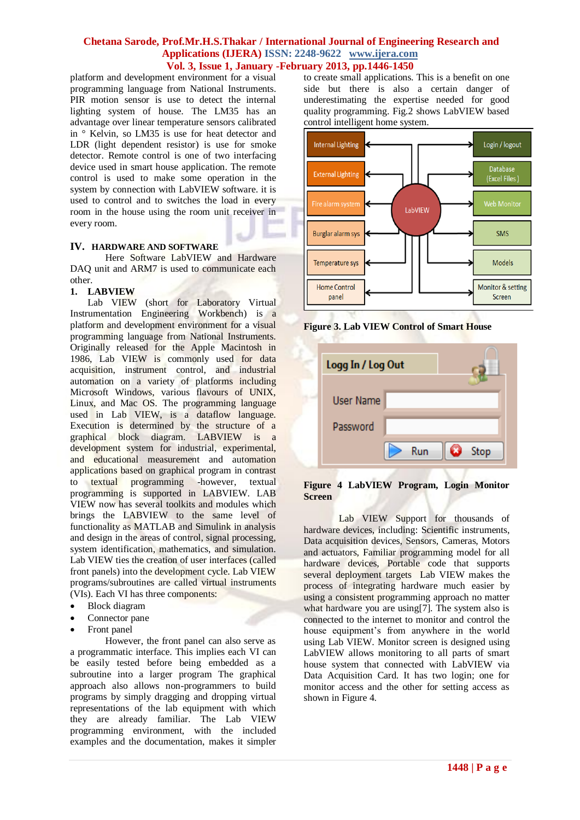platform and development environment for a visual programming language from National Instruments. PIR motion sensor is use to detect the internal lighting system of house. The LM35 has an advantage over linear temperature sensors calibrated in ° Kelvin, so LM35 is use for heat detector and LDR (light dependent resistor) is use for smoke detector. Remote control is one of two interfacing device used in smart house application. The remote control is used to make some operation in the system by connection with LabVIEW software. it is used to control and to switches the load in every room in the house using the room unit receiver in every room.

# **IV. HARDWARE AND SOFTWARE**

Here Software LabVIEW and Hardware DAQ unit and ARM7 is used to communicate each other.

# **1. LABVIEW**

Lab VIEW (short for Laboratory Virtual Instrumentation Engineering Workbench) is a platform and development environment for a visual programming language from National Instruments. Originally released for the Apple Macintosh in 1986, Lab VIEW is commonly used for data acquisition, instrument control, and industrial automation on a variety of platforms including Microsoft Windows, various flavours of UNIX, Linux, and Mac OS. The programming language used in Lab VIEW, is a dataflow language. Execution is determined by the structure of a graphical block diagram. LABVIEW is a development system for industrial, experimental, and educational measurement and automation applications based on graphical program in contrast to textual programming -however, textual programming is supported in LABVIEW. LAB VIEW now has several toolkits and modules which brings the LABVIEW to the same level of functionality as MATLAB and Simulink in analysis and design in the areas of control, signal processing, system identification, mathematics, and simulation. Lab VIEW ties the creation of user interfaces (called front panels) into the development cycle. Lab VIEW programs/subroutines are called virtual instruments (VIs). Each VI has three components:

- Block diagram
- Connector pane
- Front panel

However, the front panel can also serve as a programmatic interface. This implies each VI can be easily tested before being embedded as a subroutine into a larger program The graphical approach also allows non-programmers to build programs by simply dragging and dropping virtual representations of the lab equipment with which they are already familiar. The Lab VIEW programming environment, with the included examples and the documentation, makes it simpler to create small applications. This is a benefit on one side but there is also a certain danger of underestimating the expertise needed for good quality programming. Fig.2 shows LabVIEW based control intelligent home system.



**Figure 3. Lab VIEW Control of Smart House**

K. K

| Logg In / Log Out |  |     |  |      |
|-------------------|--|-----|--|------|
| <b>User Name</b>  |  |     |  |      |
| Password          |  |     |  |      |
|                   |  | Run |  | Stop |

## **Figure 4 LabVIEW Program, Login Monitor Screen**

Lab VIEW Support for thousands of hardware devices, including: Scientific instruments, Data acquisition devices, Sensors, Cameras, Motors and actuators, Familiar programming model for all hardware devices, Portable code that supports several deployment targets Lab VIEW makes the process of integrating hardware much easier by using a consistent programming approach no matter what hardware you are using[7]. The system also is connected to the internet to monitor and control the house equipment's from anywhere in the world using Lab VIEW. Monitor screen is designed using LabVIEW allows monitoring to all parts of smart house system that connected with LabVIEW via Data Acquisition Card. It has two login; one for monitor access and the other for setting access as shown in Figure 4.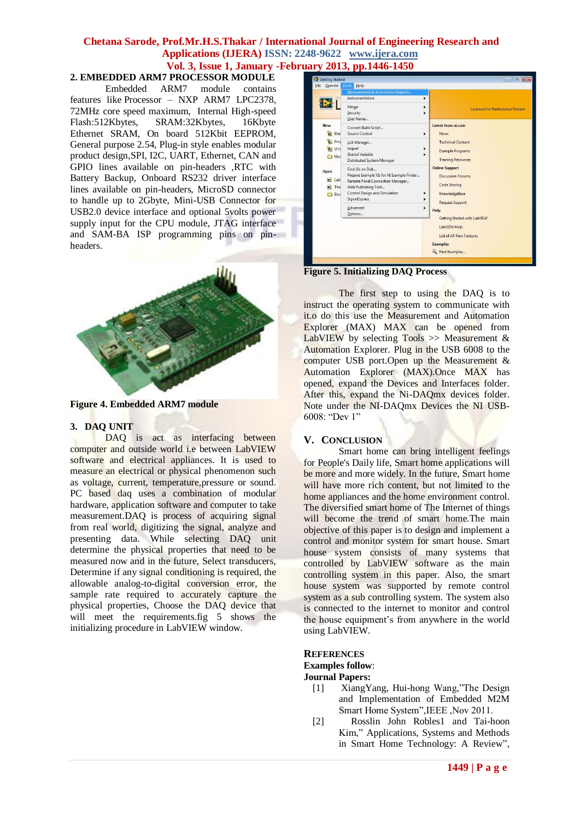# **2. EMBEDDED ARM7 PROCESSOR MODULE**

Embedded ARM7 module contains features like Processor – NXP ARM7 LPC2378, 72MHz core speed maximum, Internal High-speed Flash:512Kbytes, SRAM:32Kbytes, 16Kbyte Ethernet SRAM, On board 512Kbit EEPROM, General purpose 2.54, Plug-in style enables modular product design,SPI, I2C, UART, Ethernet, CAN and GPIO lines available on pin-headers ,RTC with Battery Backup, Onboard RS232 driver interface lines available on pin-headers, MicroSD connector to handle up to 2Gbyte, Mini-USB Connector for USB2.0 device interface and optional 5volts power supply input for the CPU module, JTAG interface and SAM-BA ISP programming pins on pinheaders.



**Figure 4. Embedded ARM7 module** 

#### **3. DAQ UNIT**

DAQ is act as interfacing between computer and outside world i.e between LabVIEW software and electrical appliances. It is used to measure an electrical or physical phenomenon such as voltage, current, temperature,pressure or sound. PC based daq uses a combination of modular hardware, application software and computer to take measurement.DAQ is process of acquiring signal from real world, digitizing the signal, analyze and presenting data. While selecting DAQ unit determine the physical properties that need to be measured now and in the future, Select transducers, Determine if any signal conditioning is required, the allowable analog-to-digital conversion error, the sample rate required to accurately capture the physical properties, Choose the DAQ device that will meet the requirements.fig 5 shows the initializing procedure in LabVIEW window.



**Figure 5. Initializing DAQ Process** 

The first step to using the DAQ is to instruct the operating system to communicate with it.o do this use the Measurement and Automation Explorer (MAX) MAX can be opened from LabVIEW by selecting  $Tools \gg Measurement \&$ Automation Explorer. Plug in the USB 6008 to the computer USB port.Open up the Measurement & Automation Explorer (MAX).Once MAX has opened, expand the Devices and Interfaces folder. After this, expand the Ni-DAQmx devices folder. Note under the NI-DAQmx Devices the NI USB-6008: "Dev 1"

#### **V. CONCLUSION**

Smart home can bring intelligent feelings for People's Daily life, Smart home applications will be more and more widely. In the future, Smart home will have more rich content, but not limited to the home appliances and the home environment control. The diversified smart home of The Internet of things will become the trend of smart home. The main objective of this paper is to design and implement a control and monitor system for smart house. Smart house system consists of many systems that controlled by LabVIEW software as the main controlling system in this paper. Also, the smart house system was supported by remote control system as a sub controlling system. The system also is connected to the internet to monitor and control the house equipment's from anywhere in the world using LabVIEW.

## **REFERENCES Examples follow**:

**Journal Papers:**

- [1] XiangYang, Hui-hong Wang,"The Design and Implementation of Embedded M2M Smart Home System",IEEE ,Nov 2011.
- [2] Rosslin John Robles1 and Tai-hoon Kim," Applications, Systems and Methods in Smart Home Technology: A Review",